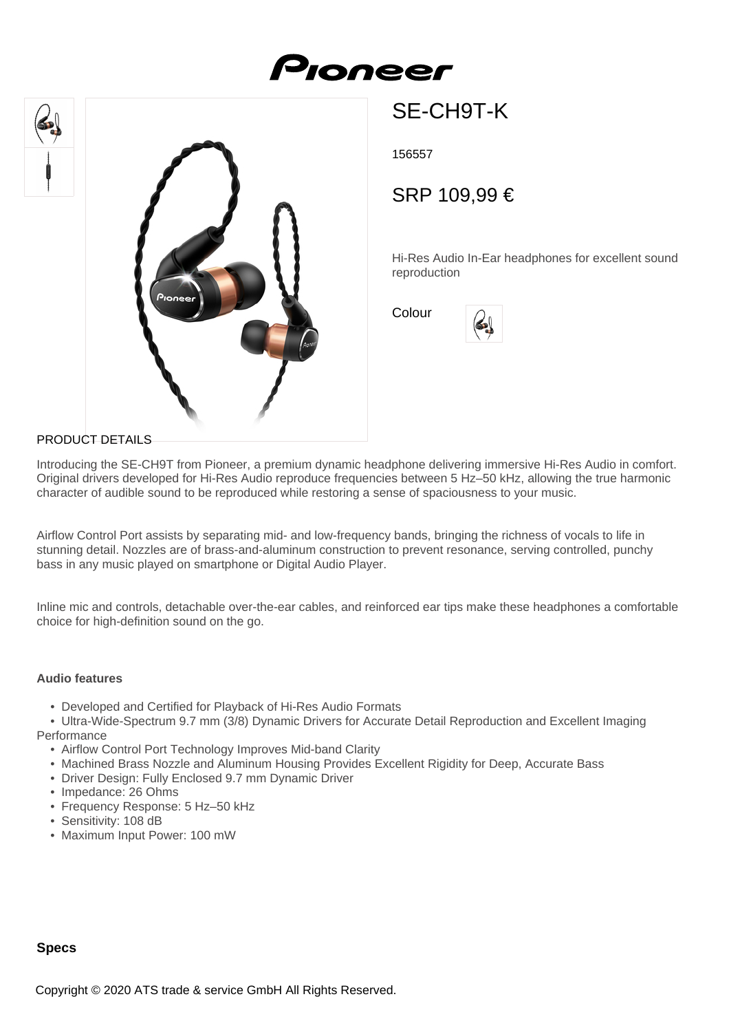# Proneer





## SE-CH9T-K

156557

### SRP 109,99 €

Hi-Res Audio In-Ear headphones for excellent sound reproduction

Colour

#### PRODUCT DETAILS

Introducing the SE-CH9T from Pioneer, a premium dynamic headphone delivering immersive Hi-Res Audio in comfort. Original drivers developed for Hi-Res Audio reproduce frequencies between 5 Hz–50 kHz, allowing the true harmonic character of audible sound to be reproduced while restoring a sense of spaciousness to your music.

Airflow Control Port assists by separating mid- and low-frequency bands, bringing the richness of vocals to life in stunning detail. Nozzles are of brass-and-aluminum construction to prevent resonance, serving controlled, punchy bass in any music played on smartphone or Digital Audio Player.

Inline mic and controls, detachable over-the-ear cables, and reinforced ear tips make these headphones a comfortable choice for high-definition sound on the go.

#### **Audio features**

- Developed and Certified for Playback of Hi-Res Audio Formats
- Ultra-Wide-Spectrum 9.7 mm (3/8) Dynamic Drivers for Accurate Detail Reproduction and Excellent Imaging **Performance** 
	- Airflow Control Port Technology Improves Mid-band Clarity
	- Machined Brass Nozzle and Aluminum Housing Provides Excellent Rigidity for Deep, Accurate Bass
	- Driver Design: Fully Enclosed 9.7 mm Dynamic Driver
	- Impedance: 26 Ohms
	- Frequency Response: 5 Hz–50 kHz
	- Sensitivity: 108 dB
	- Maximum Input Power: 100 mW

#### **Specs**

Copyright © 2020 ATS trade & service GmbH All Rights Reserved.